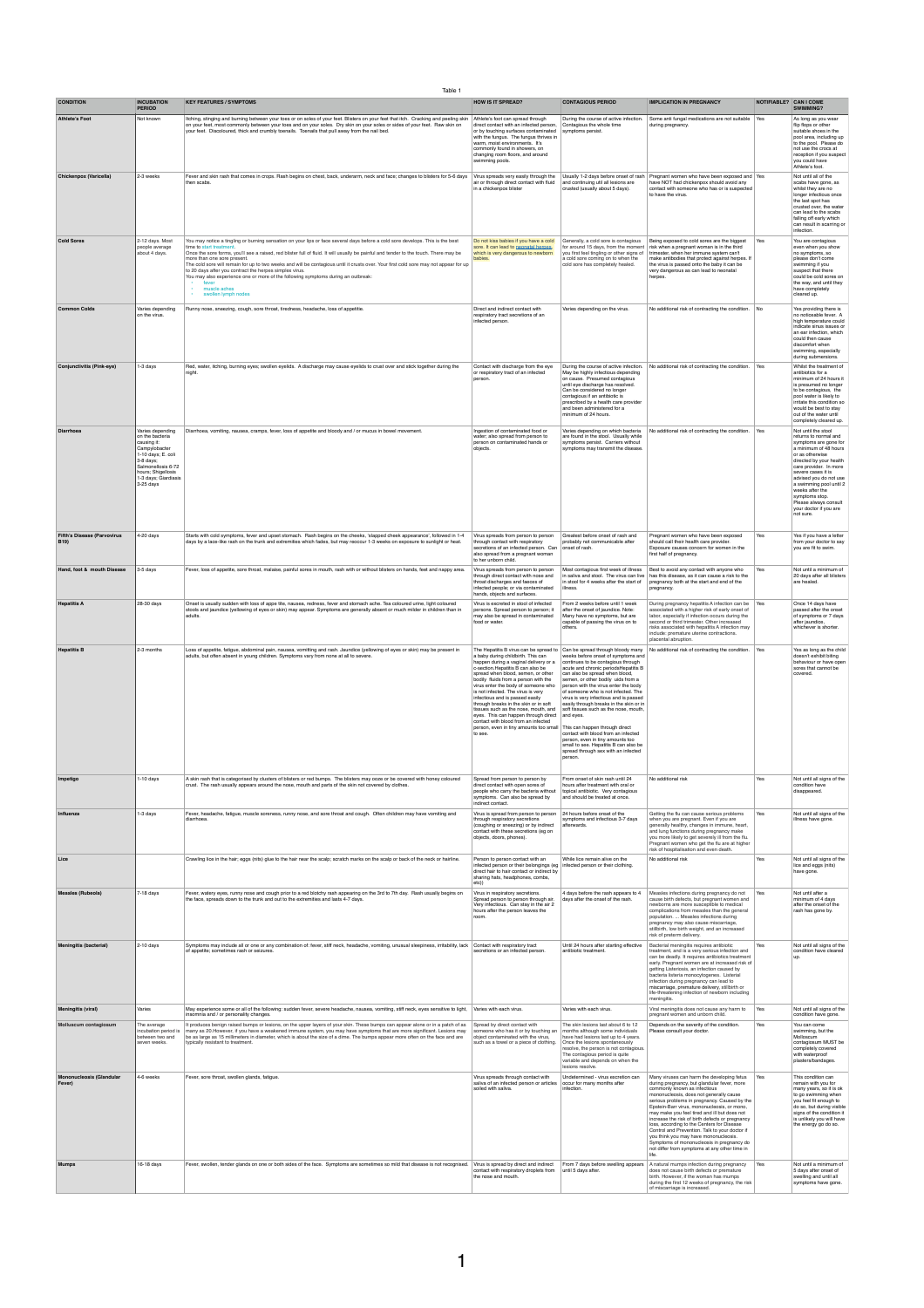Table 1

| <b>CONDITION</b>                                 | <b>INCUBATION</b><br><b>PERIOD</b>                                                                                                                                                        | <b>KEY FEATURES / SYMPTOMS</b>                                                                                                                                                                                                                                                                                                                                                                                                                                                                                                                                                                                                                                                   | <b>HOW IS IT SPREAD?</b>                                                                                                                                                                                                                                                                                                                                                                                                                                                                                                                                                                                        | <b>CONTAGIOUS PERIOD</b>                                                                                                                                                                                                                                                                                                                                                                                                                                                                                                                                                                                                      | <b>IMPLICATION IN PREGNANCY</b>                                                                                                                                                                                                                                                                                                                                                                                                                                                                                                                                                                                        |             | NOTIFIABLE? CAN I COME<br><b>SWIMMING?</b>                                                                                                                                                                                                                                                                                                             |
|--------------------------------------------------|-------------------------------------------------------------------------------------------------------------------------------------------------------------------------------------------|----------------------------------------------------------------------------------------------------------------------------------------------------------------------------------------------------------------------------------------------------------------------------------------------------------------------------------------------------------------------------------------------------------------------------------------------------------------------------------------------------------------------------------------------------------------------------------------------------------------------------------------------------------------------------------|-----------------------------------------------------------------------------------------------------------------------------------------------------------------------------------------------------------------------------------------------------------------------------------------------------------------------------------------------------------------------------------------------------------------------------------------------------------------------------------------------------------------------------------------------------------------------------------------------------------------|-------------------------------------------------------------------------------------------------------------------------------------------------------------------------------------------------------------------------------------------------------------------------------------------------------------------------------------------------------------------------------------------------------------------------------------------------------------------------------------------------------------------------------------------------------------------------------------------------------------------------------|------------------------------------------------------------------------------------------------------------------------------------------------------------------------------------------------------------------------------------------------------------------------------------------------------------------------------------------------------------------------------------------------------------------------------------------------------------------------------------------------------------------------------------------------------------------------------------------------------------------------|-------------|--------------------------------------------------------------------------------------------------------------------------------------------------------------------------------------------------------------------------------------------------------------------------------------------------------------------------------------------------------|
| <b>Athlete's Foot</b>                            | Not known                                                                                                                                                                                 | Itching, stinging and burning between your toes or on soles of your feet. Blisters on your feet that itch. Cracking and peeling skin<br>on your feet, most commonly between your toes and on your soles. Dry skin on your soles or sides of your feet. Raw skin on<br>your feet. Discoloured, thick and crumbly toenails. Toenails that pull away from the nail bed.                                                                                                                                                                                                                                                                                                             | Athlete's foot can spread through<br>direct contact with an infected person,<br>or by touching surfaces contaminated<br>with the fungus. The fungus thrives in<br>warm, moist environments. It's<br>commonly found in showers, on<br>changing room floors, and around<br>swimming pools.                                                                                                                                                                                                                                                                                                                        | During the course of active infection<br>Contagious the whole time<br>symptoms persist.                                                                                                                                                                                                                                                                                                                                                                                                                                                                                                                                       | Some anti fungal medications are not suitable<br>during pregnancy.                                                                                                                                                                                                                                                                                                                                                                                                                                                                                                                                                     | $\vert$ Yes | As long as you wear<br>flip flops or other<br>suitable shoes in the<br>pool area, including up<br>to the pool. Please do<br>not use the crocs at<br>reception if you suspect<br>you could have<br>Athlete's foot.                                                                                                                                      |
| <b>Chickenpox (Varicella)</b>                    | 2-3 weeks                                                                                                                                                                                 | Fever and skin rash that comes in crops. Rash begins on chest, back, underarm, neck and face; changes to blisters for 5-6 days<br>then scabs.                                                                                                                                                                                                                                                                                                                                                                                                                                                                                                                                    | Virus spreads very easily through the<br>air or through direct contact with fluid<br>in a chickenpox blister                                                                                                                                                                                                                                                                                                                                                                                                                                                                                                    | Usually 1-2 days before onset of rash<br>and continuing util all lesions are<br>crusted (usually about 5 days).                                                                                                                                                                                                                                                                                                                                                                                                                                                                                                               | Pregnant women who have been exposed and Yes<br>have NOT had chickenpox should avoid any<br>contact with someone who has or is suspected<br>to have the virus.                                                                                                                                                                                                                                                                                                                                                                                                                                                         |             | Not until all of the<br>scabs have gone, as<br>whilst they are no<br>longer infectious once<br>the last spot has<br>crusted over, the water<br>can lead to the scabs<br>falling off early which<br>can result in scarring or<br>infection.                                                                                                             |
| <b>Cold Sores</b>                                | 2-12 days. Most<br>people average<br>about 4 days.                                                                                                                                        | You may notice a tingling or burning sensation on your lips or face several days before a cold sore develops. This is the best<br>time to start treatment<br>Once the sore forms, you'll see a raised, red blister full of fluid. It will usually be painful and tender to the touch. There may be<br>more than one sore present.<br>The cold sore will remain for up to two weeks and will be contagious until it crusts over. Your first cold sore may not appear for up<br>to 20 days after you contract the herpes simplex virus.<br>You may also experience one or more of the following symptoms during an outbreak:<br>$\bullet$ .<br>muscle aches<br>swollen lymph nodes | Do not kiss babies if you have a cold<br>sore. It can lead to neonatal herpes.<br>which is very dangerous to newborn<br>babies.                                                                                                                                                                                                                                                                                                                                                                                                                                                                                 | Generally, a cold sore is contagious<br>for around 15 days, from the moment<br>you first feel tingling or other signs of<br>a cold sore coming on to when the<br>cold sore has completely healed.                                                                                                                                                                                                                                                                                                                                                                                                                             | Being exposed to cold sores are the biggest<br>risk when a pregnant woman is in the third<br>trimester, when her immune system can't<br>make antibodies that protect against herpes. If<br>the virus is passed onto the baby it can be<br>very dangerous as can lead to neonatal<br>herpes.                                                                                                                                                                                                                                                                                                                            | Yes         | You are contagious<br>even when you show<br>no symptoms, so<br>please don't come<br>swimming if you<br>suspect that there<br>could be cold sores on<br>the way, and until they<br>have completely<br>cleared up.                                                                                                                                       |
| <b>Common Colds</b>                              | Varies depending<br>on the virus                                                                                                                                                          | Runny nose, sneezing, cough, sore throat, tiredness, headache, loss of appetitie                                                                                                                                                                                                                                                                                                                                                                                                                                                                                                                                                                                                 | Direct and indirect contact with<br>respiratory tract secretions of an<br>infected person.                                                                                                                                                                                                                                                                                                                                                                                                                                                                                                                      | Varies depending on the virus.                                                                                                                                                                                                                                                                                                                                                                                                                                                                                                                                                                                                | No additional risk of contracting the condition.                                                                                                                                                                                                                                                                                                                                                                                                                                                                                                                                                                       | No          | Yes providing there is<br>no noticeable fever. A<br>high temperature could<br>indicate sinus issues or<br>an ear infection, which<br>could then cause<br>discomfort when<br>swimming, especially<br>during submersions                                                                                                                                 |
| <b>Conjunctivitis (Pink-eye)</b>                 | $1-3$ days                                                                                                                                                                                | Red, water, itching, burning eyes; swollen eyelids. A discharge may cause eyelids to crust over and stick together during the<br>night.                                                                                                                                                                                                                                                                                                                                                                                                                                                                                                                                          | Contact with discharge from the eye<br>or respiratory tract of an infected<br>person.                                                                                                                                                                                                                                                                                                                                                                                                                                                                                                                           | During the course of active infection.<br>May be highly infectious depending<br>on cause. Presumed contagious<br>until eye discharge has resolved.<br>Can be considered no longer<br>contagious if an antibiotic is<br>prescribed by a health care provider<br>and been administered for a<br>minimum of 24 hours.                                                                                                                                                                                                                                                                                                            | No additional risk of contracting the condition.                                                                                                                                                                                                                                                                                                                                                                                                                                                                                                                                                                       | $\vert$ Yes | Whilst the treatment of<br>antibiotics for a<br>minimum of 24 hours it<br>is presumed no longer<br>to be contagious, the<br>pool water is likely to<br>irritate this condition so<br>would be best to stay<br>out of the water until<br>completely cleared up.                                                                                         |
| <b>Diarrhoea</b>                                 | Varies depending<br>on the bacteria<br>causing it:<br>Campylobacter<br>1-10 days; E. coli<br>3-8 days;<br>Salmonellosis 6-72<br>hours; Shigellosis<br>1-3 days; Giardiasis<br>$3-25$ days | Diarrhoea, vomiting, nausea, cramps, fever, loss of appetite and bloody and / or mucus in bowel movement.                                                                                                                                                                                                                                                                                                                                                                                                                                                                                                                                                                        | Ingestion of contaminated food or<br>water; also spread from person to<br>person on contaminated hands or<br>objects.                                                                                                                                                                                                                                                                                                                                                                                                                                                                                           | Varies depending on which bacteria<br>are found in the stool. Usually while<br>symptoms persist. Carriers without<br>symptoms may transmit the disease.                                                                                                                                                                                                                                                                                                                                                                                                                                                                       | No additional risk of contracting the condition.                                                                                                                                                                                                                                                                                                                                                                                                                                                                                                                                                                       | $\vert$ Yes | Not until the stool<br>returns to normal and<br>symptoms are gone for<br>a minimum of 48 hours<br>or as otherwise<br>directed by your health<br>care provider. In more<br>severe cases it is<br>advised you do not use<br>a swimming pool until 2<br>weeks after the<br>symptoms stop.<br>Please always consult<br>your doctor if you are<br>not sure. |
| <b>Fifth's Disease (Parvovirus</b><br><b>B19</b> | 4-20 days                                                                                                                                                                                 | Starts with cold symptoms, fever and upset stomach. Rash begins on the cheeks, 'slapped cheek appearance', followed in 1-4<br>days by a lace-like rash on the trunk and extremities which fades, but may reoccur 1-3 weeks on exposure to sunlight or heat.                                                                                                                                                                                                                                                                                                                                                                                                                      | Virus spreads from person to person<br>through contact with respiratory<br>secretions of an infected person. Can onset of rash.<br>also spread from a pregnant woman<br>to her unborn child.                                                                                                                                                                                                                                                                                                                                                                                                                    | Greatest before onset of rash and<br>probably not communicable after                                                                                                                                                                                                                                                                                                                                                                                                                                                                                                                                                          | Pregnant women who have been exposed<br>should call their health care provider.<br>Exposure causes concern for women in the<br>first half of pregnancy.                                                                                                                                                                                                                                                                                                                                                                                                                                                                | Yes         | Yes if you have a letter<br>from your doctor to say<br>you are fit to swim.                                                                                                                                                                                                                                                                            |
| Hand, foot & mouth Disease                       | 3-5 days                                                                                                                                                                                  | Fever, loss of appetite, sore throat, malaise, painful sores in mouth, rash with or without blisters on hands, feet and nappy area.                                                                                                                                                                                                                                                                                                                                                                                                                                                                                                                                              | Virus spreads from person to person<br>through direct contact with nose and<br>throat discharges and faeces of<br>infected people; or via contaminated<br>hands, objects and surfaces.                                                                                                                                                                                                                                                                                                                                                                                                                          | Most contagious first week of illness<br>in stool for 4 weeks after the start of<br>illness.                                                                                                                                                                                                                                                                                                                                                                                                                                                                                                                                  | Best to avoid any contact with anyone who<br>in saliva and stool. The virus can live $\vert$ has this disease, as it can cause a risk to the<br>pregnancy both at the start and end of the<br>pregnancy.                                                                                                                                                                                                                                                                                                                                                                                                               | Yes         | Not until a minimum of<br>20 days after all blisters<br>are healed.                                                                                                                                                                                                                                                                                    |
| <b>Hepatitis A</b>                               | 28-30 days                                                                                                                                                                                | Onset is usually sudden with loss of appe tite, nausea, redness, fever and stomach ache. Tea coloured urine, light coloured<br>stools and jaundice (yellowing of eyes or skin) may appear. Symptoms are generally absent or much milder in children than in<br>adults.                                                                                                                                                                                                                                                                                                                                                                                                           | Virus is excreted in stool of infected<br>persons. Spread person to person; it<br>may also be spread in contaminated<br>food or water.                                                                                                                                                                                                                                                                                                                                                                                                                                                                          | From 2 weeks before until 1 week<br>after the onset of jaundice. Note:<br>Many have no symptoms, but are<br>capable of passing the virus on to<br>others.                                                                                                                                                                                                                                                                                                                                                                                                                                                                     | During pregnancy hepatitis A infection can be Yes<br>associated with a higher risk of early onset of<br>labor, especially if infection occurs during the<br>second or third trimester. Other increased<br>risks associated with hepatitis A infection may<br>include: premature uterine contractions.<br>placental abruption.                                                                                                                                                                                                                                                                                          |             | Once 14 days have<br>passed after the onset<br>of symptoms or 7 days<br>after jaundice,<br>whichever is shorter.                                                                                                                                                                                                                                       |
| <b>Hepatitis B</b>                               | 2-3 months                                                                                                                                                                                | Loss of appetite, fatigue, abdominal pain, nausea, vomitting and rash. Jaundice (yellowing of eyes or skin) may be present in<br>adults, but often absent in young children. Symptoms vary from none at all to severe.                                                                                                                                                                                                                                                                                                                                                                                                                                                           | The Hepatitis B virus can be spread to<br>a baby during childbirth. This can<br>happen during a vaginal delivery or a<br>c-section. Hepatitis B can also be<br>spread when blood, semen, or other<br>bodily fluids from a person with the<br>virus enter the body of someone who<br>is not infected. The virus is very<br>infectious and is passed easily<br>through breaks in the skin or in soft<br>tissues such as the nose, mouth, and<br>eyes. This can happen through direct<br>contact with blood from an infected<br>person, even in tiny amounts too small   This can happen through direct<br>to see. | Can be spread through bloody many<br>weeks before onset of symptoms and<br>continues to be contagious through<br>acute and chronic periodsHepatitis B<br>can also be spread when blood,<br>semen, or other bodily uids from a<br>person with the virus enter the body<br>of someone who is not infected. The<br>virus is very infectious and is passed<br>easily through breaks in the skin or in<br>soft tissues such as the nose, mouth,<br>and eyes.<br>contact with blood from an infected<br>person, even in tiny amounts too<br>small to see. Hepatitis B can also be<br>spread through sex with an infected<br>person. | No additional risk of contracting the condition.   Yes                                                                                                                                                                                                                                                                                                                                                                                                                                                                                                                                                                 |             | Yes as long as the child<br>doesn't exhibit biting<br>behaviour or have oper<br>sores that cannot be<br>covered.                                                                                                                                                                                                                                       |
| Impetigo                                         | $1-10$ days                                                                                                                                                                               | A skin rash that is categorised by clusters of blisters or red bumps. The blisters may ooze or be covered with honey coloured<br>crust. The rash usually appears around the nose, mouth and parts of the skin not covered by clothes.                                                                                                                                                                                                                                                                                                                                                                                                                                            | Spread from person to person by<br>direct contact with open sores of<br>people who carry the bacteria without<br>symptoms. Can also be spread by<br>indirect contact.                                                                                                                                                                                                                                                                                                                                                                                                                                           | From onset of skin rash until 24<br>hours after treatment with oral or<br>topical antibiotic. Very contagious<br>and should be treated at once.                                                                                                                                                                                                                                                                                                                                                                                                                                                                               | No additional risk                                                                                                                                                                                                                                                                                                                                                                                                                                                                                                                                                                                                     | Yes         | Not until all signs of the<br>condition have<br>disappeared                                                                                                                                                                                                                                                                                            |
| Influenza                                        | $1-3$ days                                                                                                                                                                                | Fever, headache, fatigue, muscle soreness, runny nose, and sore throat and cough. Often children may have vomiting and<br>diarrhoea.                                                                                                                                                                                                                                                                                                                                                                                                                                                                                                                                             | Virus is spread from person to person<br>through respiratory secretions<br>(coughing or sneezing) or by indirect<br>contact with these secretions (eg on<br>objects, doors, phones)                                                                                                                                                                                                                                                                                                                                                                                                                             | 24 hours before onset of the<br>symptoms and infectious 3-7 days<br>afterwards.                                                                                                                                                                                                                                                                                                                                                                                                                                                                                                                                               | Getting the flu can cause serious problems<br>when you are pregnant. Even if you are<br>generally healthy, changes in immune, heart,<br>and lung functions during pregnancy make<br>you more likely to get severely ill from the flu.<br>Pregnant women who get the flu are at higher<br>risk of hospitalisation and even death.                                                                                                                                                                                                                                                                                       | Yes         | Not until all signs of the<br>illness have gone.                                                                                                                                                                                                                                                                                                       |
| Lice                                             |                                                                                                                                                                                           | Crawling lice in the hair; eggs (nits) glue to the hair near the scalp; scratch marks on the scalp or back of the neck or hairline.                                                                                                                                                                                                                                                                                                                                                                                                                                                                                                                                              | Person to person contact with an<br>infected person or their belongings (eg   infected person or their clothing<br>direct hair to hair contact or indirect by<br>sharing hats, headphones, combs,                                                                                                                                                                                                                                                                                                                                                                                                               | While lice remain alive on the                                                                                                                                                                                                                                                                                                                                                                                                                                                                                                                                                                                                | No additional risk                                                                                                                                                                                                                                                                                                                                                                                                                                                                                                                                                                                                     | Yes         | Not until all signs of the<br>lice and eggs (nits)<br>have gone.                                                                                                                                                                                                                                                                                       |
| <b>Measles (Rubeola)</b>                         | 7-18 days                                                                                                                                                                                 | Fever, watery eyes, runny nose and cough prior to a red blotchy rash appearing on the 3rd to 7th day. Rash usually begins on<br>the face, spreads down to the trunk and out to the extremities and lasts 4-7 days.                                                                                                                                                                                                                                                                                                                                                                                                                                                               | etc))<br>Virus in respiratory secretions.<br>Spread person to person through air.<br>Very infectious. Can stay in the air 2<br>hours after the person leaves the<br>room.                                                                                                                                                                                                                                                                                                                                                                                                                                       | 4 days before the rash appears to 4<br>days after the onset of the rash.                                                                                                                                                                                                                                                                                                                                                                                                                                                                                                                                                      | Measles infections during pregnancy do not<br>cause birth defects, but pregnant women and<br>newborns are more susceptible to medical<br>complications from measles than the general<br>population.  Measles infections during<br>pregnancy may also cause miscarriage,<br>stillbirth, low birth weight, and an increased<br>risk of preterm delivery.                                                                                                                                                                                                                                                                 | Yes         | Not until after a<br>minimum of 4 days<br>after the onset of the<br>rash has gone by.                                                                                                                                                                                                                                                                  |
| <b>Meningitis (bacterial)</b>                    | 2-10 days                                                                                                                                                                                 | Symptoms may include all or one or any combination of: fever, stiff neck, headache, vomiting, unusual sleepiness, irritability, lack<br>of appetite; sometimes rash or seizures.                                                                                                                                                                                                                                                                                                                                                                                                                                                                                                 | Contact with respiratory tract<br>secretions or an infected person.                                                                                                                                                                                                                                                                                                                                                                                                                                                                                                                                             | Until 24 hours after starting effective<br>antibiotic treatment.                                                                                                                                                                                                                                                                                                                                                                                                                                                                                                                                                              | Bacterial meningitis requires antibiotic<br>treatment, and is a very serious infection and<br>can be deadly. It requires antibiotics treatment<br>early. Pregnant women are at increased risk of<br>getting Listeriosis, an infection caused by<br>bacteria listeria monocytogenes. Listerial<br>infection during pregnancy can lead to<br>miscarriage, premature delivery, stillbirth or<br>life-threatening infection of newborn including<br>meningitis.                                                                                                                                                            | Yes         | Not until all signs of the<br>condition have cleared<br>up.                                                                                                                                                                                                                                                                                            |
| <b>Meningitis (viral)</b>                        | Varies                                                                                                                                                                                    | May experience some or all of the following: sudden fever, severe headache, nausea, vomiting, stiff neck, eyes sensitive to light,<br>insomnia and / or personality changes.                                                                                                                                                                                                                                                                                                                                                                                                                                                                                                     | Varies with each virus.                                                                                                                                                                                                                                                                                                                                                                                                                                                                                                                                                                                         | Varies with each virus.                                                                                                                                                                                                                                                                                                                                                                                                                                                                                                                                                                                                       | Viral meningitis does not cause any harm to<br>pregnant women and unborn child.                                                                                                                                                                                                                                                                                                                                                                                                                                                                                                                                        | Yes         | Not until all signs of the<br>condition have gone.                                                                                                                                                                                                                                                                                                     |
| <b>Molluscum contagiosum</b>                     | The average<br>incubation period is<br>between two and<br>seven weeks.                                                                                                                    | It produces benign raised bumps or lesions, on the upper layers of your skin. These bumps can appear alone or in a patch of as<br>many as 20. However, if you have a weakened immune system, you may have symptoms that are more significant. Lesions may<br>be as large as 15 millimeters in diameter, which is about the size of a dime. The bumps appear more often on the face and are<br>typically resistant to treatment.                                                                                                                                                                                                                                                  | Spread by direct contact with<br>someone who has it or by touching ar<br>object contaminated with the virus,<br>such as a towel or a piece of clothing                                                                                                                                                                                                                                                                                                                                                                                                                                                          | The skin lesions last about 6 to 12<br>months although some individuals<br>have had lesions last up to 4 years.<br>Once the lesions spontaneously<br>resolve, the person is not contagious.<br>The contagious period is quite<br>variable and depends on when the<br>lesions resolve.                                                                                                                                                                                                                                                                                                                                         | Depends on the severity of the condition.<br>Please consult your doctor.                                                                                                                                                                                                                                                                                                                                                                                                                                                                                                                                               | Yes         | You can come<br>swimming, but the<br>Molloscum<br>contagiosum MUST be<br>completely covered<br>with waterproof<br>plasters/bandages                                                                                                                                                                                                                    |
| <b>Mononucleosis (Glandular</b><br>Fever)        | $ 4-6$ weeks                                                                                                                                                                              | Fever, sore throat, swollen glands, fatigue.                                                                                                                                                                                                                                                                                                                                                                                                                                                                                                                                                                                                                                     | Virus spreads through contact with<br>saliva of an infected person or articles<br>soiled with saliva.                                                                                                                                                                                                                                                                                                                                                                                                                                                                                                           | Undetermined - virus excretion can<br>occur for many months after<br>infection.                                                                                                                                                                                                                                                                                                                                                                                                                                                                                                                                               | Many viruses can harm the developing fetus<br>during pregnancy, but glandular fever, more<br>commonly known as infectious<br>mononucleosis, does not generally cause<br>serious problems in pregnancy. Caused by the<br>Epstein-Barr virus, mononucleosis, or mono,<br>may make you feel tired and ill but does not<br>increase the risk of birth defects or pregnancy<br>loss, according to the Centers for Disease<br>Control and Prevention. Talk to your doctor if<br>you think you may have mononucleosis.<br>Symptoms of mononucleosis in pregnancy do<br>not differ from symptoms at any other time in<br>life. | Yes         | This condition can<br>remain with you for<br>many years, so it is ok<br>to go swimming when<br>you feel fit enough to<br>do so, but during visible<br>signs of the condition it<br>is unlikely you will have<br>the energy go do so.                                                                                                                   |
| <b>Mumps</b>                                     | 16-18 days                                                                                                                                                                                | Fever, swollen, tender glands on one or both sides of the face. Symptoms are sometimes so mild that disease is not recognised.                                                                                                                                                                                                                                                                                                                                                                                                                                                                                                                                                   | Virus is spread by direct and indirect<br>contact with respiratory droplets from<br>the nose and mouth.                                                                                                                                                                                                                                                                                                                                                                                                                                                                                                         | From 7 days before swelling appea<br>until 5 days after.                                                                                                                                                                                                                                                                                                                                                                                                                                                                                                                                                                      | A natural mumps infection during pregnancy<br>does not cause birth defects or premature<br>birth. However, if the woman has mumps<br>during the first 12 weeks of pregnancy, the risk<br>of miscarriage is increased.                                                                                                                                                                                                                                                                                                                                                                                                  | Yes         | Not until a minimum of<br>5 days after onset of<br>swelling and until all<br>symptoms have gone.                                                                                                                                                                                                                                                       |

1